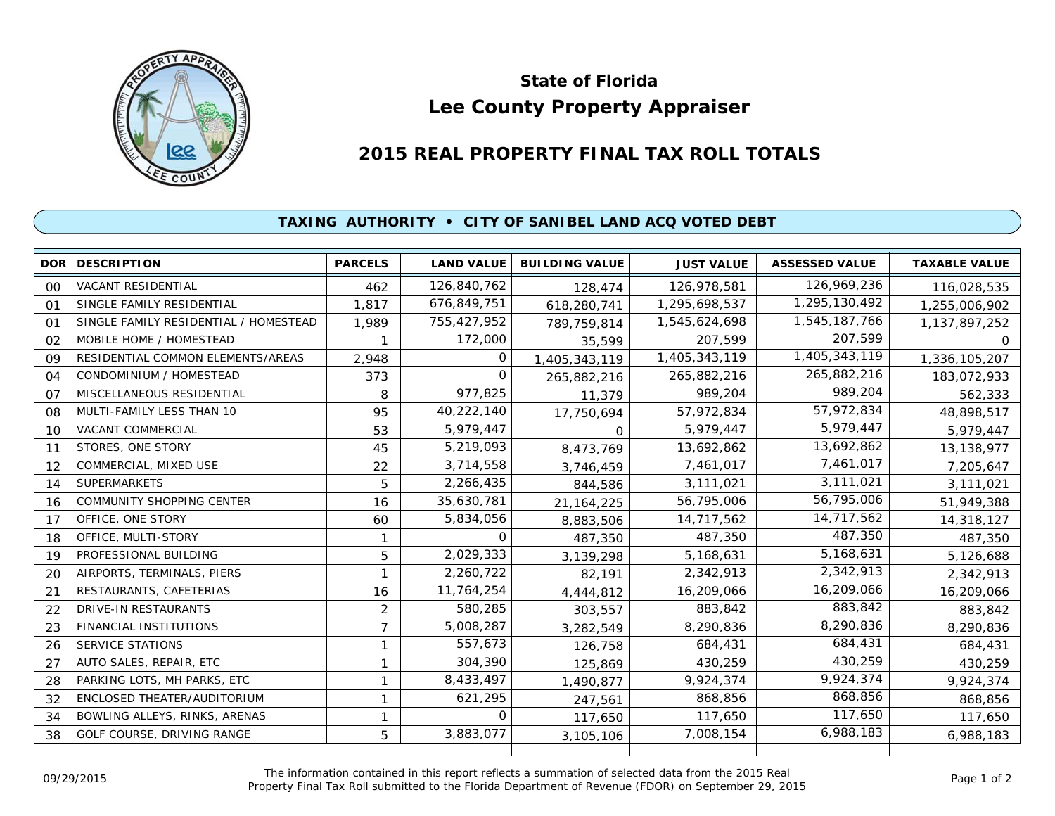

## **Lee County Property Appraiser State of Florida**

## **2015 REAL PROPERTY FINAL TAX ROLL TOTALS**

## **TAXING AUTHORITY • CITY OF SANIBEL LAND ACQ VOTED DEBT**

| DOR | <b>DESCRIPTION</b>                    | <b>PARCELS</b> | <b>LAND VALUE</b> | <b>BUILDING VALUE</b> | <b>JUST VALUE</b> | <b>ASSESSED VALUE</b> | <b>TAXABLE VALUE</b> |
|-----|---------------------------------------|----------------|-------------------|-----------------------|-------------------|-----------------------|----------------------|
| 00  | <b>VACANT RESIDENTIAL</b>             | 462            | 126,840,762       | 128,474               | 126,978,581       | 126,969,236           | 116,028,535          |
| 01  | SINGLE FAMILY RESIDENTIAL             | 1.817          | 676,849,751       | 618,280,741           | 1,295,698,537     | 1,295,130,492         | 1,255,006,902        |
| 01  | SINGLE FAMILY RESIDENTIAL / HOMESTEAD | 1,989          | 755,427,952       | 789,759,814           | 1,545,624,698     | 1,545,187,766         | 1,137,897,252        |
| 02  | MOBILE HOME / HOMESTEAD               |                | 172,000           | 35,599                | 207,599           | 207,599               | $\Omega$             |
| 09  | RESIDENTIAL COMMON ELEMENTS/AREAS     | 2,948          | O                 | 1,405,343,119         | 1,405,343,119     | 1,405,343,119         | 1,336,105,207        |
| 04  | CONDOMINIUM / HOMESTEAD               | 373            | $\Omega$          | 265,882,216           | 265,882,216       | 265,882,216           | 183,072,933          |
| 07  | MISCELLANEOUS RESIDENTIAL             | 8              | 977,825           | 11,379                | 989,204           | 989,204               | 562,333              |
| 08  | MULTI-FAMILY LESS THAN 10             | 95             | 40,222,140        | 17,750,694            | 57,972,834        | 57,972,834            | 48,898,517           |
| 10  | VACANT COMMERCIAL                     | 53             | 5,979,447         | $\Omega$              | 5,979,447         | 5,979,447             | 5,979,447            |
| 11  | STORES, ONE STORY                     | 45             | 5,219,093         | 8,473,769             | 13,692,862        | 13,692,862            | 13,138,977           |
| 12  | COMMERCIAL, MIXED USE                 | 22             | 3,714,558         | 3,746,459             | 7,461,017         | 7,461,017             | 7,205,647            |
| 14  | <b>SUPERMARKETS</b>                   | 5              | 2,266,435         | 844,586               | 3,111,021         | 3,111,021             | 3,111,021            |
| 16  | <b>COMMUNITY SHOPPING CENTER</b>      | 16             | 35,630,781        | 21, 164, 225          | 56,795,006        | 56,795,006            | 51,949,388           |
| 17  | OFFICE, ONE STORY                     | 60             | 5,834,056         | 8,883,506             | 14,717,562        | 14,717,562            | 14,318,127           |
| 18  | OFFICE, MULTI-STORY                   | 1              | 0                 | 487,350               | 487,350           | 487,350               | 487,350              |
| 19  | PROFESSIONAL BUILDING                 | 5              | 2,029,333         | 3,139,298             | 5,168,631         | 5,168,631             | 5,126,688            |
| 20  | AIRPORTS, TERMINALS, PIERS            |                | 2,260,722         | 82,191                | 2,342,913         | 2,342,913             | 2,342,913            |
| 21  | RESTAURANTS, CAFETERIAS               | 16             | 11,764,254        | 4,444,812             | 16,209,066        | 16,209,066            | 16,209,066           |
| 22  | DRIVE-IN RESTAURANTS                  | 2              | 580,285           | 303,557               | 883,842           | 883,842               | 883,842              |
| 23  | FINANCIAL INSTITUTIONS                | $\overline{7}$ | 5,008,287         | 3,282,549             | 8,290,836         | 8,290,836             | 8,290,836            |
| 26  | <b>SERVICE STATIONS</b>               | 1              | 557,673           | 126,758               | 684,431           | 684,431               | 684,431              |
| 27  | AUTO SALES, REPAIR, ETC               |                | 304,390           | 125,869               | 430,259           | 430,259               | 430,259              |
| 28  | PARKING LOTS, MH PARKS, ETC           | 1              | 8,433,497         | 1,490,877             | 9,924,374         | 9,924,374             | 9,924,374            |
| 32  | ENCLOSED THEATER/AUDITORIUM           | 1              | 621,295           | 247,561               | 868,856           | 868,856               | 868,856              |
| 34  | BOWLING ALLEYS, RINKS, ARENAS         | 1              | $\Omega$          | 117,650               | 117,650           | 117,650               | 117,650              |
| 38  | GOLF COURSE, DRIVING RANGE            | 5              | 3,883,077         | 3,105,106             | 7,008,154         | 6,988,183             | 6,988,183            |
|     |                                       |                |                   |                       |                   |                       |                      |

The information contained in this report reflects a summation of selected data from the 2015 Real Ine information contained in this report reflects a summation of selected data from the 2015 Real<br>Property Final Tax Roll submitted to the Florida Department of Revenue (FDOR) on September 29, 2015